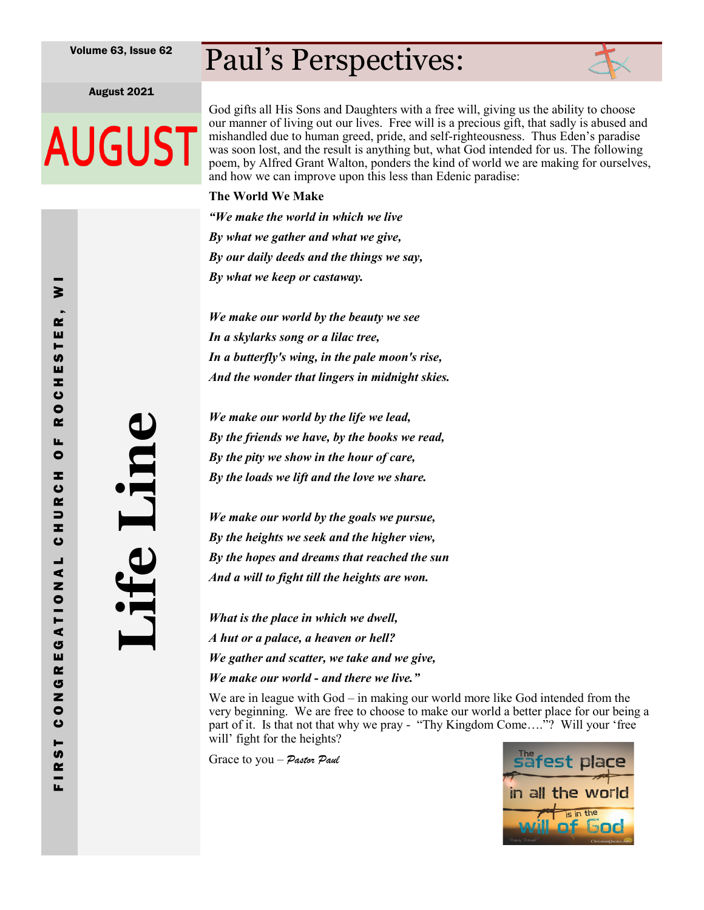## Paul's Perspectives:

August 2021

**AUGUST** 

God gifts all His Sons and Daughters with a free will, giving us the ability to choose our manner of living out our lives. Free will is a precious gift, that sadly is abused and mishandled due to human greed, pride, and self-righteousness. Thus Eden's paradise was soon lost, and the result is anything but, what God intended for us. The following poem, by Alfred Grant Walton, ponders the kind of world we are making for ourselves, and how we can improve upon this less than Edenic paradise:

#### **The World We Make**

*"We make the world in which we live By what we gather and what we give, By our daily deeds and the things we say, By what we keep or castaway.*

*We make our world by the beauty we see In a skylarks song or a lilac tree, In a butterfly's wing, in the pale moon's rise, And the wonder that lingers in midnight skies.*

*We make our world by the life we lead, By the friends we have, by the books we read, By the pity we show in the hour of care, By the loads we lift and the love we share.*

*We make our world by the goals we pursue, By the heights we seek and the higher view, By the hopes and dreams that reached the sun And a will to fight till the heights are won.*

*What is the place in which we dwell, A hut or a palace, a heaven or hell? We gather and scatter, we take and we give, We make our world - and there we live."*

We are in league with God – in making our world more like God intended from the very beginning. We are free to choose to make our world a better place for our being a part of it. Is that not that why we pray - "Thy Kingdom Come…."? Will your 'free will' fight for the heights?

Grace to you – *Pastor Paul*



**Life Line**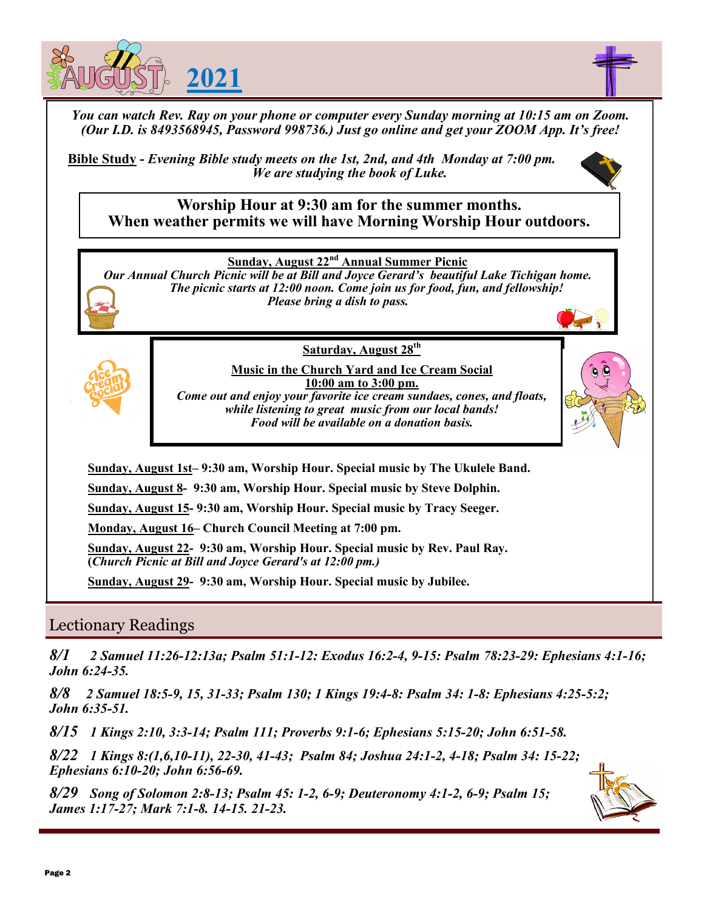



*You can watch Rev. Ray on your phone or computer every Sunday morning at 10:15 am on Zoom. (Our I.D. is 8493568945, Password 998736.) Just go online and get your ZOOM App. It's free!*

**Bible Study -** *Evening Bible study meets on the 1st, 2nd, and 4th Monday at 7:00 pm. We are studying the book of Luke.* 



**Worship Hour at 9:30 am for the summer months. When weather permits we will have Morning Worship Hour outdoors.**

**Sunday, August 22nd Annual Summer Picnic** 

*Our Annual Church Picnic will be at Bill and Joyce Gerard's beautiful Lake Tichigan home. The picnic starts at 12:00 noon. Come join us for food, fun, and fellowship! Please bring a dish to pass.* 

> **Saturday, August 28th Music in the Church Yard and Ice Cream Social**



**10:00 am to 3:00 pm.**  *Come out and enjoy your favorite ice cream sundaes, cones, and floats, while listening to great music from our local bands! Food will be available on a donation basis.* 

**Sunday, August 1st– 9:30 am, Worship Hour. Special music by The Ukulele Band.** 

**Sunday, August 8- 9:30 am, Worship Hour. Special music by Steve Dolphin.**

**Sunday, August 15- 9:30 am, Worship Hour. Special music by Tracy Seeger.**

**Monday, August 16– Church Council Meeting at 7:00 pm.** 

**Sunday, August 22- 9:30 am, Worship Hour. Special music by Rev. Paul Ray. (***Church Picnic at Bill and Joyce Gerard's at 12:00 pm.)*

**Sunday, August 29- 9:30 am, Worship Hour. Special music by Jubilee.** 

### Lectionary Readings

*8/1 2 Samuel 11:26-12:13a; Psalm 51:1-12: Exodus 16:2-4, 9-15: Psalm 78:23-29: Ephesians 4:1-16; John 6:24-35.* 

*8/8 2 Samuel 18:5-9, 15, 31-33; Psalm 130; 1 Kings 19:4-8: Psalm 34: 1-8: Ephesians 4:25-5:2; John 6:35-51.*

*8/15 1 Kings 2:10, 3:3-14; Psalm 111; Proverbs 9:1-6; Ephesians 5:15-20; John 6:51-58.*

*8/22 1 Kings 8:(1,6,10-11), 22-30, 41-43; Psalm 84; Joshua 24:1-2, 4-18; Psalm 34: 15-22; Ephesians 6:10-20; John 6:56-69.*

*8/29 Song of Solomon 2:8-13; Psalm 45: 1-2, 6-9; Deuteronomy 4:1-2, 6-9; Psalm 15; James 1:17-27; Mark 7:1-8. 14-15. 21-23.* 

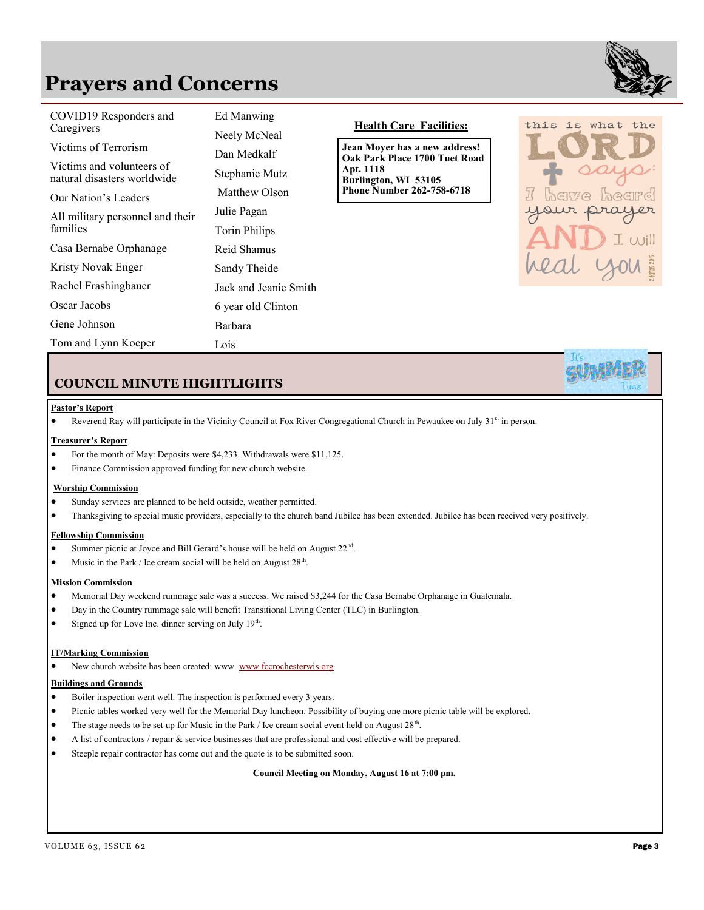### **Prayers and Concerns**



| COVID19 Responders and<br>Caregivers                     | Ed Manwing<br>Neely McNeal | <b>Health Care Facilities:</b>                                 |  |  |
|----------------------------------------------------------|----------------------------|----------------------------------------------------------------|--|--|
| Victims of Terrorism                                     | Dan Medkalf                | Jean Moyer has a new address!<br>Oak Park Place 1700 Tuet Road |  |  |
| Victims and volunteers of<br>natural disasters worldwide | Stephanie Mutz             | Apt. 1118<br>Burlington, WI 53105                              |  |  |
| Our Nation's Leaders                                     | Matthew Olson              | <b>Phone Number 262-758-6718</b>                               |  |  |
| All military personnel and their<br>families             | Julie Pagan                |                                                                |  |  |
|                                                          | <b>Torin Philips</b>       |                                                                |  |  |
| Casa Bernabe Orphanage                                   | Reid Shamus                |                                                                |  |  |
| Kristy Novak Enger                                       | Sandy Theide               |                                                                |  |  |
| Rachel Frashingbauer                                     | Jack and Jeanie Smith      |                                                                |  |  |
| Oscar Jacobs                                             | 6 year old Clinton         |                                                                |  |  |
| Gene Johnson                                             | Barbara                    |                                                                |  |  |
| Tom and Lynn Koeper                                      | Lois                       |                                                                |  |  |



#### **COUNCIL MINUTE HIGHTLIGHTS**

#### **Pastor's Report**

• Reverend Ray will participate in the Vicinity Council at Fox River Congregational Church in Pewaukee on July 31<sup>st</sup> in person.

#### **Treasurer's Report**

- For the month of May: Deposits were \$4,233. Withdrawals were \$11,125.
- Finance Commission approved funding for new church website.

#### **Worship Commission**

- Sunday services are planned to be held outside, weather permitted.
- Thanksgiving to special music providers, especially to the church band Jubilee has been extended. Jubilee has been received very positively.

#### **Fellowship Commission**

- Summer picnic at Joyce and Bill Gerard's house will be held on August  $22<sup>nd</sup>$ .
- Music in the Park / Ice cream social will be held on August  $28<sup>th</sup>$ .

#### **Mission Commission**

- Memorial Day weekend rummage sale was a success. We raised \$3,244 for the Casa Bernabe Orphanage in Guatemala.
- Day in the Country rummage sale will benefit Transitional Living Center (TLC) in Burlington.
- Signed up for Love Inc. dinner serving on July  $19<sup>th</sup>$ .

#### **IT/Marking Commission**

• New church website has been created: www. [www.fccrochesterwis.org](http://www.fccrochesterwis.org))

#### **Buildings and Grounds**

- Boiler inspection went well. The inspection is performed every 3 years.
- Picnic tables worked very well for the Memorial Day luncheon. Possibility of buying one more picnic table will be explored.
- The stage needs to be set up for Music in the Park / Ice cream social event held on August  $28<sup>th</sup>$ .
- A list of contractors / repair & service businesses that are professional and cost effective will be prepared.
- Steeple repair contractor has come out and the quote is to be submitted soon.

**Council Meeting on Monday, August 16 at 7:00 pm.**